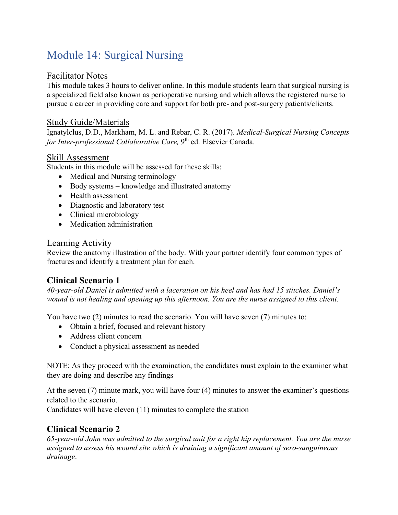# Module 14: Surgical Nursing

#### Facilitator Notes

This module takes 3 hours to deliver online. In this module students learn that surgical nursing is a specialized field also known as perioperative nursing and which allows the registered nurse to pursue a career in providing care and support for both pre- and post-surgery patients/clients.

### Study Guide/Materials

Ignatylclus, D.D., Markham, M. L. and Rebar, C. R. (2017). *Medical-Surgical Nursing Concepts for Inter-professional Collaborative Care,* 9<sup>th</sup> ed. Elsevier Canada.

#### Skill Assessment

Students in this module will be assessed for these skills:

- Medical and Nursing terminology
- Body systems knowledge and illustrated anatomy
- Health assessment
- Diagnostic and laboratory test
- Clinical microbiology
- Medication administration

#### Learning Activity

Review the anatomy illustration of the body. With your partner identify four common types of fractures and identify a treatment plan for each.

## **Clinical Scenario 1**

*40-year-old Daniel is admitted with a laceration on his heel and has had 15 stitches. Daniel's wound is not healing and opening up this afternoon. You are the nurse assigned to this client.* 

You have two (2) minutes to read the scenario. You will have seven (7) minutes to:

- Obtain a brief, focused and relevant history
- Address client concern
- Conduct a physical assessment as needed

NOTE: As they proceed with the examination, the candidates must explain to the examiner what they are doing and describe any findings

At the seven (7) minute mark, you will have four (4) minutes to answer the examiner's questions related to the scenario.

Candidates will have eleven (11) minutes to complete the station

## **Clinical Scenario 2**

*65-year-old John was admitted to the surgical unit for a right hip replacement. You are the nurse assigned to assess his wound site which is draining a significant amount of sero-sanguineous drainage*.